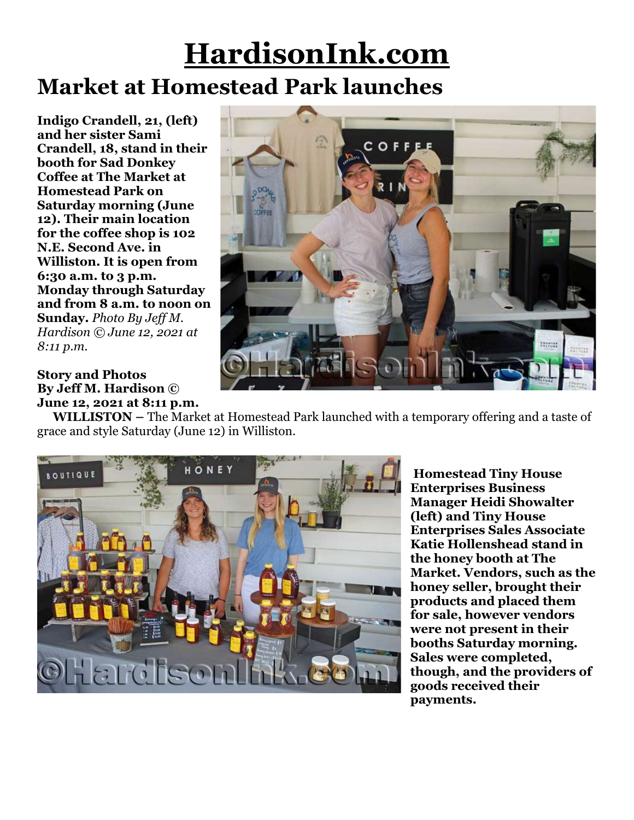#### **HardisonInk.com Market at Homestead Park launches**

**Indigo Crandell, 21, (left) and her sister Sami Crandell, 18, stand in their booth for Sad Donkey Coffee at The Market at Homestead Park on Saturday morning (June 12). Their main location for the coffee shop is 102 N.E. Second Ave. in Williston. It is open from 6:30 a.m. to 3 p.m. Monday through Saturday and from 8 a.m. to noon on Sunday.** *Photo By Jeff M. Hardison © June 12, 2021 at 8:11 p.m.*

**Story and Photos By Jeff M. Hardison © June 12, 2021 at 8:11 p.m.**



 **WILLISTON –** The Market at Homestead Park launched with a temporary offering and a taste of grace and style Saturday (June 12) in Williston.



**Homestead Tiny House Enterprises Business Manager Heidi Showalter (left) and Tiny House Enterprises Sales Associate Katie Hollenshead stand in the honey booth at The Market. Vendors, such as the honey seller, brought their products and placed them for sale, however vendors were not present in their booths Saturday morning. Sales were completed, though, and the providers of goods received their payments.**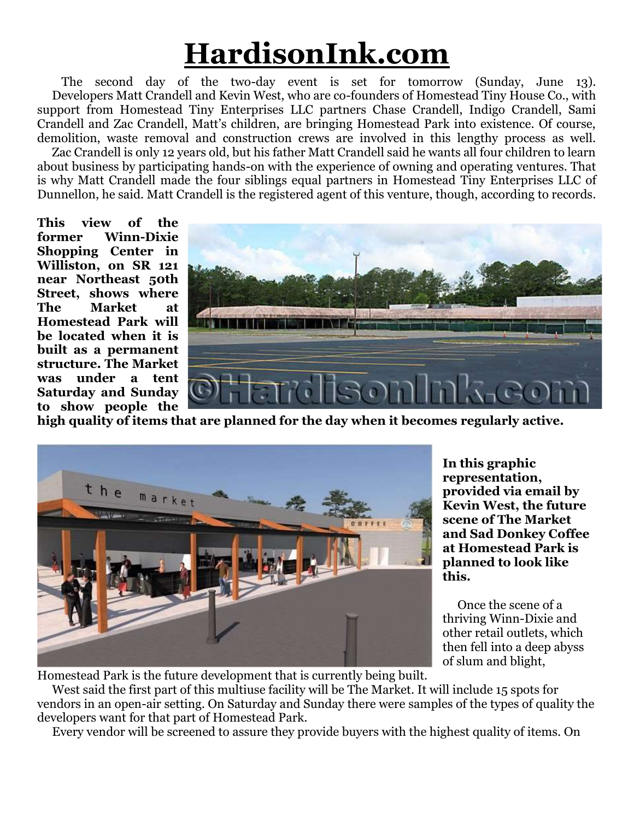The second day of the two-day event is set for tomorrow (Sunday, June 13). Developers Matt Crandell and Kevin West, who are co-founders of Homestead Tiny House Co., with support from Homestead Tiny Enterprises LLC partners Chase Crandell, Indigo Crandell, Sami Crandell and Zac Crandell, Matt's children, are bringing Homestead Park into existence. Of course, demolition, waste removal and construction crews are involved in this lengthy process as well.

 Zac Crandell is only 12 years old, but his father Matt Crandell said he wants all four children to learn about business by participating hands-on with the experience of owning and operating ventures. That is why Matt Crandell made the four siblings equal partners in Homestead Tiny Enterprises LLC of Dunnellon, he said. Matt Crandell is the registered agent of this venture, though, according to records.

**This view of the former Winn-Dixie Shopping Center in Williston, on SR 121 near Northeast 50th Street, shows where The Market at Homestead Park will be located when it is built as a permanent structure. The Market was under a tent Saturday and Sunday to show people the** 



**high quality of items that are planned for the day when it becomes regularly active.**



**In this graphic representation, provided via email by Kevin West, the future scene of The Market and Sad Donkey Coffee at Homestead Park is planned to look like this.**

 Once the scene of a thriving Winn-Dixie and other retail outlets, which then fell into a deep abyss of slum and blight,

Homestead Park is the future development that is currently being built.

 West said the first part of this multiuse facility will be The Market. It will include 15 spots for vendors in an open-air setting. On Saturday and Sunday there were samples of the types of quality the developers want for that part of Homestead Park.

Every vendor will be screened to assure they provide buyers with the highest quality of items. On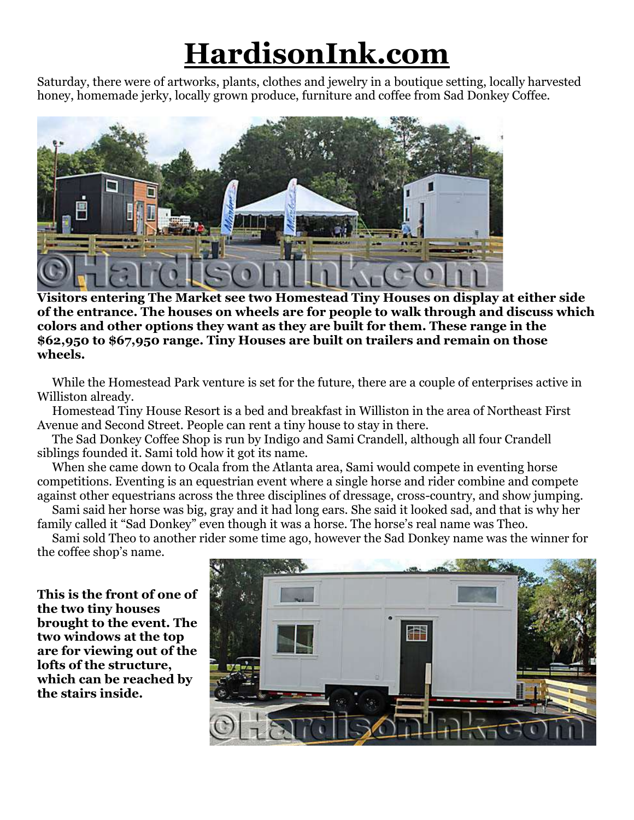Saturday, there were of artworks, plants, clothes and jewelry in a boutique setting, locally harvested honey, homemade jerky, locally grown produce, furniture and coffee from Sad Donkey Coffee.



**Visitors entering The Market see two Homestead Tiny Houses on display at either side of the entrance. The houses on wheels are for people to walk through and discuss which colors and other options they want as they are built for them. These range in the \$62,950 to \$67,950 range. Tiny Houses are built on trailers and remain on those wheels.**

 While the Homestead Park venture is set for the future, there are a couple of enterprises active in Williston already.

 Homestead Tiny House Resort is a bed and breakfast in Williston in the area of Northeast First Avenue and Second Street. People can rent a tiny house to stay in there.

 The Sad Donkey Coffee Shop is run by Indigo and Sami Crandell, although all four Crandell siblings founded it. Sami told how it got its name.

 When she came down to Ocala from the Atlanta area, Sami would compete in eventing horse competitions. Eventing is an equestrian event where a single horse and rider combine and compete against other equestrians across the three disciplines of dressage, cross-country, and show jumping.

 Sami said her horse was big, gray and it had long ears. She said it looked sad, and that is why her family called it "Sad Donkey" even though it was a horse. The horse's real name was Theo.

 Sami sold Theo to another rider some time ago, however the Sad Donkey name was the winner for the coffee shop's name.

**This is the front of one of** 

**the two tiny houses brought to the event. The two windows at the top are for viewing out of the lofts of the structure, which can be reached by the stairs inside.**

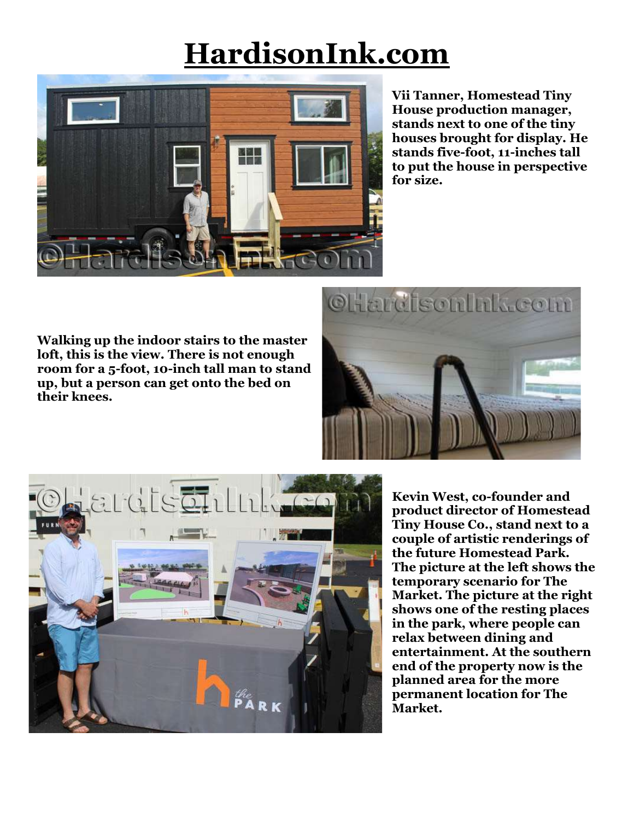

**Vii Tanner, Homestead Tiny House production manager, stands next to one of the tiny houses brought for display. He stands five-foot, 11-inches tall to put the house in perspective for size.**

**Walking up the indoor stairs to the master loft, this is the view. There is not enough room for a 5-foot, 10-inch tall man to stand up, but a person can get onto the bed on their knees.**





**Kevin West, co-founder and product director of Homestead Tiny House Co., stand next to a couple of artistic renderings of the future Homestead Park. The picture at the left shows the temporary scenario for The Market. The picture at the right shows one of the resting places in the park, where people can relax between dining and entertainment. At the southern end of the property now is the planned area for the more permanent location for The Market.**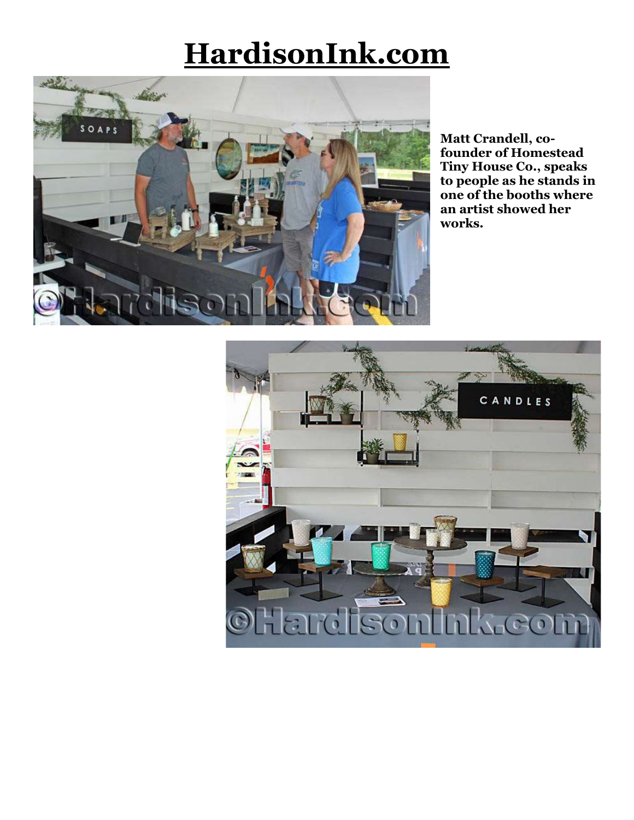

**Matt Crandell, cofounder of Homestead Tiny House Co., speaks to people as he stands in one of the booths where an artist showed her works.**

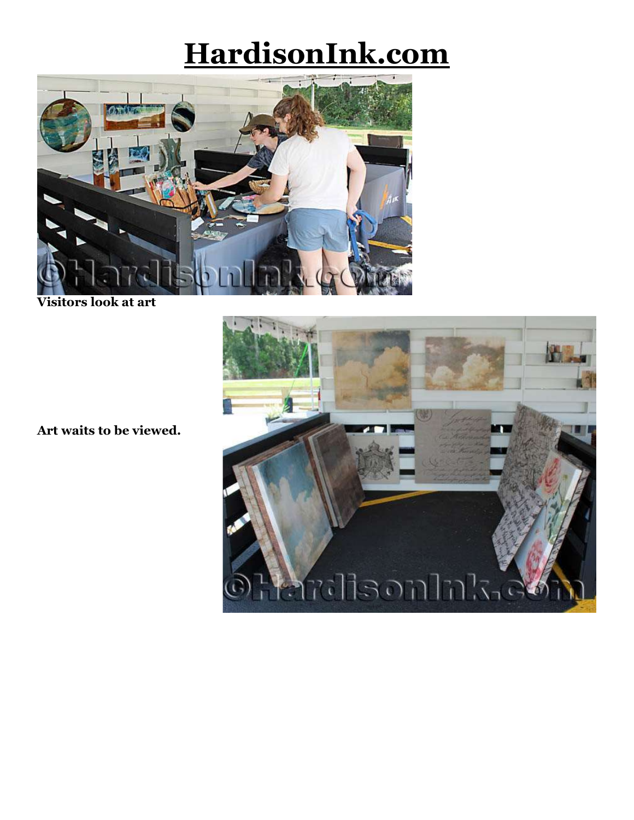

**Visitors look at art**



**Art waits to be viewed.**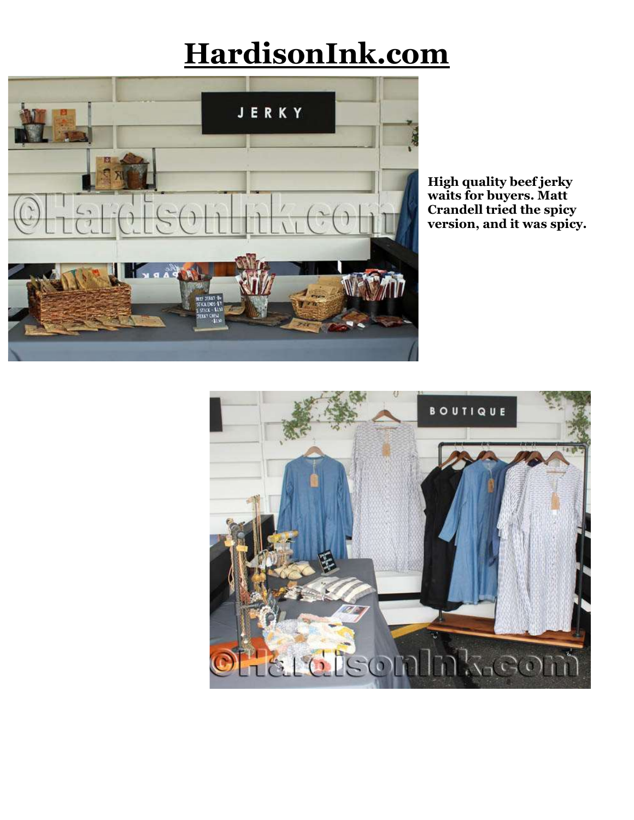

**High quality beef jerky waits for buyers. Matt Crandell tried the spicy version, and it was spicy.**

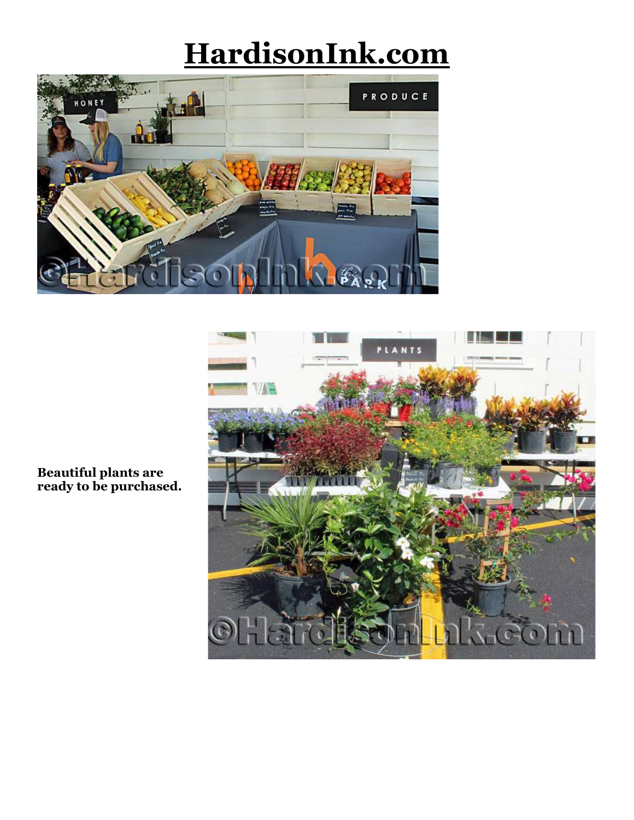



**Beautiful plants are ready to be purchased.**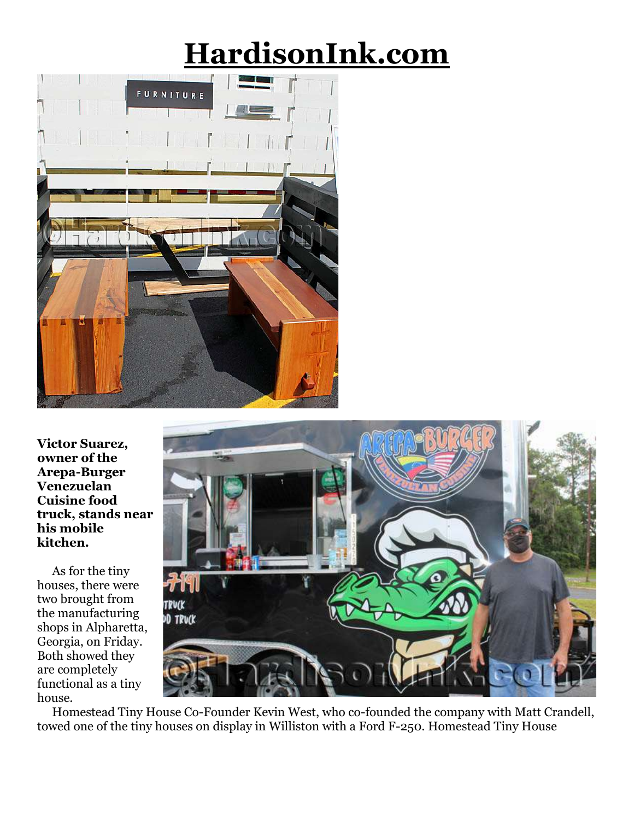

**Victor Suarez, owner of the Arepa-Burger Venezuelan Cuisine food truck, stands near his mobile kitchen.**

 As for the tiny houses, there were two brought from the manufacturing shops in Alpharetta, Georgia, on Friday. Both showed they are completely functional as a tiny house.



 Homestead Tiny House Co-Founder Kevin West, who co-founded the company with Matt Crandell, towed one of the tiny houses on display in Williston with a Ford F-250. Homestead Tiny House